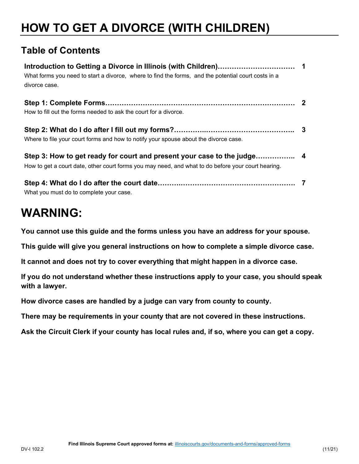# **HOW TO GET A DIVORCE (WITH CHILDREN)**

# **Table of Contents**

| What forms you need to start a divorce, where to find the forms, and the potential court costs in a<br>divorce case. |  |
|----------------------------------------------------------------------------------------------------------------------|--|
|                                                                                                                      |  |
| How to fill out the forms needed to ask the court for a divorce.                                                     |  |
| Where to file your court forms and how to notify your spouse about the divorce case.                                 |  |
| How to get a court date, other court forms you may need, and what to do before your court hearing.                   |  |
| What you must do to complete your case.                                                                              |  |

# **WARNING:**

 **You cannot use this guide and the forms unless you have an address for your spouse.** 

This guide will give you general instructions on how to complete a simple divorce case.<br>It cannot and does not try to cover everything that might happen in a divorce case.

**If you do not understand whether these instructions apply to your case, you should speak with a lawyer.** 

**How divorce cases are handled by a judge can vary from county to county.** 

**There may be requirements in your county that are not covered in these instructions.** 

**Ask the Circuit Clerk if your county has local rules and, if so, where you can get a copy.**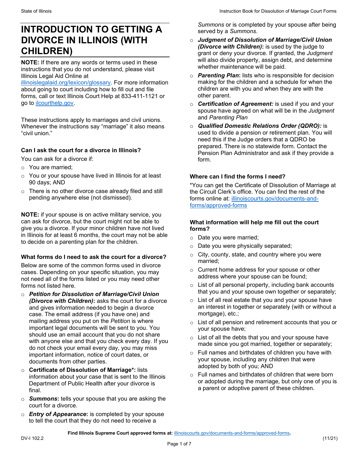# <span id="page-1-0"></span>**INTRODUCTION TO GETTING A DIVORCE IN ILLINOIS (WITH CHILDREN)**

 instructions that you do not understand, please visit **NOTE:** If there are any words or terms used in these Illinois Legal Aid Online at

 about going to court including how to fill out and file go to ilcourthelp.gov. [illinoislegalaid.org/lexicon/glossary.](https://www.illinoislegalaid.org/lexicon/glossary) For more information forms, call or text Illinois Court Help at 833-411-1121 or

These instructions apply to marriages and civil unions. Whenever the instructions say "marriage" it also means. "civil union."

#### **Can I ask the court for a divorce in Illinois?**

You can ask for a divorce if:

- o You are married;
- $\circ$  You or your spouse have lived in Illinois for at least 90 days; AND
- $\circ$  There is no other divorce case already filed and still pending anywhere else (not dismissed).

**NOTE:** if your spouse is on active military service, you can ask for divorce, but the court might not be able to give you a divorce. If your minor children have not lived in Illinois for at least 6 months, the court may not be able to decide on a parenting plan for the children.

#### **What forms do I need to ask the court for a divorce?**

 not need all of the forms listed or you may need other Below are some of the common forms used in divorce cases. Depending on your specific situation, you may forms not listed here.

- important legal documents will be sent to you. You o *Petition for Dissolution of Marriage/Civil Union (Divorce with Children)***:** asks the court for a divorce and gives information needed to begin a divorce case. The email address (if you have one) and mailing address you put on the *Petition* is where should use an email account that you do not share with anyone else and that you check every day. If you do not check your email every day, you may miss important information, notice of court dates, or documents from other parties.
- o **Certificate of Dissolution of Marriage\*:** lists final. information about your case that is sent to the Illinois Department of Public Health after your divorce is
- o *Summons***:** tells your spouse that you are asking the court for a divorce.
- to tell the court that they do not need to receive a o *Entry of Appearance***:** is completed by your spouse

 *Summons* or is completed by your spouse after being served by a *Summons*.

- grant or deny your divorce. If granted, the *Judgment*  o *Judgment of Dissolution of Marriage/Civil Union (Divorce with Children)***:** is used by the judge to will also divide property, assign debt, and determine whether maintenance will be paid.
- o *Parenting Plan***:** lists who is responsible for decision making for the children and a schedule for when the children are with you and when they are with the other parent.
- o *Certification of Agreement:* is used if you and your spouse have agreed on what will be in the *Judgment*  and *Parenting Plan*
- used to divide a pension or retirement plan. You will o *Qualified Domestic Relations Order (QDRO):* is need this if the Judge orders that a QDRO be prepared. There is no statewide form. Contact the Pension Plan Administrator and ask if they provide a form.

#### **Where can I find the forms I need?**

 \*You can get the Certificate of Dissolution of Marriage at the Circuit Clerk's office. You can find the rest of the forms online at: [illinoiscourts.gov/documents-and](https://www.illinoiscourts.gov/documents-and-forms/approved-forms/)[forms/approved-forms](https://www.illinoiscourts.gov/documents-and-forms/approved-forms/) 

#### **What information will help me fill out the court forms?**

- o Date you were married;
- o Date you were physically separated;
- $\circ$  City, county, state, and country where you were married;
- o Current home address for your spouse or other address where your spouse can be found;
- $\circ$  List of all personal property, including bank accounts that you and your spouse own together or separately;
- $\circ$  List of all real estate that you and your spouse have an interest in together or separately (with or without a mortgage), etc.;
- o List of all pension and retirement accounts that you or your spouse have;
- $\circ$  List of all the debts that you and your spouse have made since you got married, together or separately;
- adopted by both of you; AND o Full names and birthdates of children you have with your spouse, including any children that were
- or adopted during the marriage, but only one of you is a parent or adoptive parent of these children. o Full names and birthdates of children that were born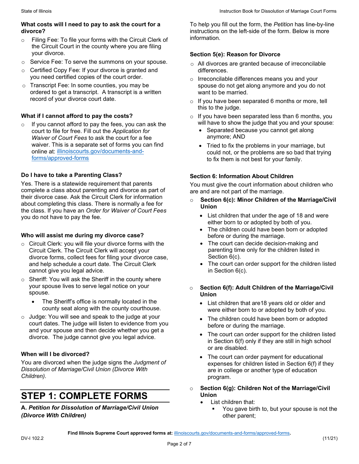#### <span id="page-2-0"></span>**What costs will I need to pay to ask the court for a divorce?**

- o Filing Fee: To file your forms with the Circuit Clerk of the Circuit Court in the county where you are filing your divorce.
- o Service Fee: To serve the summons on your spouse.
- $\circ$   $\,$  Certified Copy Fee: If your divorce is granted and you need certified copies of the court order.
- record of your divorce court date. o Transcript Fee: In some counties, you may be ordered to get a transcript. A transcript is a written

### **What if I cannot afford to pay the costs?**

If you cannot afford to pay the fees, you can ask the court to file for free. Fill out the *Application for Waiver of Court Fees* to ask the court for a fee waiver. This is a separate set of forms you can find online at: [illinoiscourts.gov/documents-and](https://www.illinoiscourts.gov/documents-and-forms/approved-forms/)[forms/approved-forms](https://www.illinoiscourts.gov/documents-and-forms/approved-forms/) 

### **Do I have to take a Parenting Class?**

 Yes. There is a statewide requirement that parents complete a class about parenting and divorce as part of their divorce case. Ask the Circuit Clerk for information the class. If you have an *Order for Waiver of Court Fees*  about completing this class. There is normally a fee for you do not have to pay the fee.

#### **Who will assist me during my divorce case?**

- o Circuit Clerk: you will file your divorce forms with the Circuit Clerk. The Circuit Clerk will accept your divorce forms, collect fees for filing your divorce case, and help schedule a court date. The Circuit Clerk cannot give you legal advice.
- $\circ~$  Sheriff: You will ask the Sheriff in the county where your spouse lives to serve legal notice on your spouse.
	- The Sheriff's office is normally located in the county seat along with the county courthouse.
- $\circ$  Judge: You will see and speak to the judge at your court dates. The judge will listen to evidence from you and your spouse and then decide whether you get a divorce. The judge cannot give you legal advice.

#### **When will I be divorced?**

You are divorced when the judge signs the *Judgment of Dissolution of Marriage/Civil Union (Divorce With Children).* 

# **STEP 1: COMPLETE FORMS**

 *(Divorce With Children)*  **A.** *Petition for Dissolution of Marriage/Civil Union* 

To help you fill out the form, the *Petition* has line-by-line instructions on the left-side of the form. Below is more information.

#### **Section 5(e): Reason for Divorce**

- o All divorces are granted because of irreconcilable differences.
- o Irreconcilable differences means you and your spouse do not get along anymore and you do not want to be married.
- $\circ$  If you have been separated 6 months or more, tell this to the judge.
- will have to show the judge that you and your spouse:  $\circ$  If you have been separated less than 6 months, you
	- Separated because you cannot get along anymore; AND
	- could not, or the problems are so bad that trying • Tried to fix the problems in your marriage, but to fix them is not best for your family.

#### **Section 6: Information About Children**

You must give the court information about children who are and are not part of the marriage.

- o **Section 6(c): Minor Children of the Marriage/Civil Union** 
	- • List children that under the age of 18 and were  either born to or adopted by both of you.
	- The children could have been born or adopted before or during the marriage.
	- The court can decide decision-making and parenting time only for the children listed in Section 6(c).
	- The court can order support for the children listed in Section 6(c).

#### o **Section 6(f): Adult Children of the Marriage/Civil Union**

- • List children that are18 years old or older and were either born to or adopted by both of you.
- The children could have been born or adopted before or during the marriage.
- The court can order support for the children listed in Section 6(f) only if they are still in high school or are disabled.
- The court can order payment for educational expenses for children listed in Section 6(f) if they are in college or another type of education program.
- o **Section 6(g): Children Not of the Marriage/Civil Union** 
	- List children that:
		- **You gave birth to, but your spouse is not the** other parent;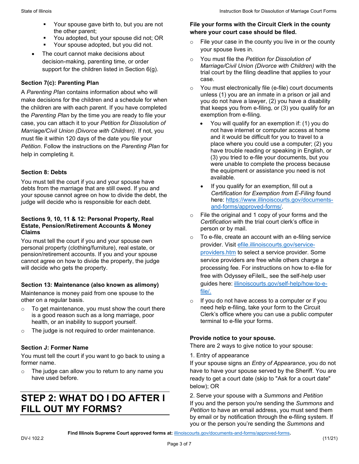- <span id="page-3-0"></span> Your spouse gave birth to, but you are not the other parent;
- You adopted, but your spouse did not; OR
- Your spouse adopted, but you did not.
- • The court cannot make decisions about decision-making, parenting time, or order support for the children listed in Section 6(g).

#### **Section 7(c): Parenting Plan**

 case, you can attach it to your *Petition for Dissolution of Petition*. Follow the instructions on the *Parenting Plan* for A *Parenting Plan* contains information about who will make decisions for the children and a schedule for when the children are with each parent. If you have completed the *Parenting Plan* by the time you are ready to file your *Marriage/Civil Union (Divorce with Children)*. If not, you must file it within 120 days of the date you file your help in completing it.

### **Section 8: Debts**

You must tell the court if you and your spouse have debts from the marriage that are still owed. If you and your spouse cannot agree on how to divide the debt, the judge will decide who is responsible for each debt.

#### **Sections 9, 10, 11 & 12: Personal Property, Real Estate, Pension/Retirement Accounts & Money Claims**

 personal property (clothing/furniture), real estate, or You must tell the court if you and your spouse own pension/retirement accounts. If you and your spouse cannot agree on how to divide the property, the judge will decide who gets the property.

# **Section 13: Maintenance (also known as alimony)**

 other on a regular basis. Maintenance is money paid from one spouse to the

- $\circ$  To get maintenance, you must show the court there is a good reason such as a long marriage, poor health, or an inability to support yourself.
- $\circ$  The judge is not required to order maintenance.

#### **Section J: Former Name**

You must tell the court if you want to go back to using a former name.

o The judge can allow you to return to any name you have used before.

# **STEP 2: WHAT DO I DO AFTER I FILL OUT MY FORMS?**

#### **File your forms with the Circuit Clerk in the county where your court case should be filed.**

- $\circ$  File your case in the county you live in or the county your spouse lives in.
- o You must file the *Petition for Dissolution of Marriage/Civil Union (Divorce with Children)* with the trial court by the filing deadline that applies to your case.
- o You must electronically file (e-file) court documents unless (1) you are an inmate in a prison or jail and you do not have a lawyer, (2) you have a disability that keeps you from e-filing, or (3) you qualify for an exemption from e-filing.
	- You will qualify for an exemption if: (1) you do not have internet or computer access at home and it would be difficult for you to travel to a place where you could use a computer; (2) you have trouble reading or speaking in English, or (3) you tried to e-file your documents, but you were unable to complete the process because the equipment or assistance you need is not available.
	- [and-forms/approved-forms/.](https://www.illinoiscourts.gov/documents-and-forms/approved-forms/) • If you qualify for an exemption, fill out a *Certification for Exemption from E-Filing* found here: [https://www.illinoiscourts.gov/documents-](https://www.illinoiscourts.gov/documents-and-forms/approved-forms/)
- $\circ$  *Certification* with the trial court clerk's office in File the original and 1 copy of your forms and the person or by mail.
- $\circ$  To e-file, create an account with an e-filing service provider. Visit [efile.illinoiscourts.gov/service](http://efile.illinoiscourts.gov/service-providers.htm)[providers.htm](http://efile.illinoiscourts.gov/service-providers.htm) to select a service provider. Some service providers are free while others charge a processing fee. For instructions on how to e-file for free with Odyssey eFileIL, see the self-help user guides here: [illinoiscourts.gov/self-help/how-to-e](https://www.illinoiscourts.gov/self-help/how-to-e-file/)[file/.](https://www.illinoiscourts.gov/self-help/how-to-e-file/)
- $\circ$  If you do not have access to a computer or if you need help e-filing, take your form to the Circuit Clerk's office where you can use a public computer terminal to e-file your forms.

# **Provide notice to your spouse.**

There are 2 ways to give notice to your spouse:

1. Entry of appearance

 ready to get a court date (skip to "Ask for a court date" If your spouse signs an *Entry of Appearance*, you do not have to have your spouse served by the Sheriff. You are below); OR

 *Petition* to have an email address, you must send them by email or by notification through the e-filing system. If you or the person you're sending the *Summons* and 2. Serve your spouse with a *Summons* and *Petition*  If you and the person you're sending the *Summons* and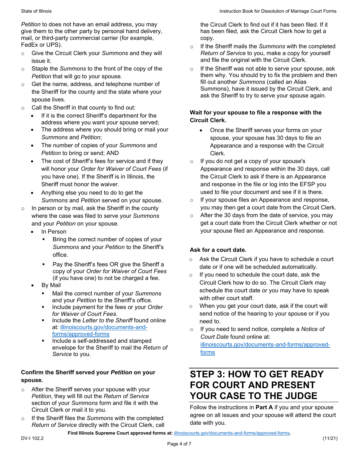<span id="page-4-0"></span>*Petition* to does not have an email address, you may give them to the other party by personal hand delivery, mail, or third-party commercial carrier (for example, FedEx or UPS).

- o Give the Circuit Clerk your *Summons* and they will issue it.
- *Petition* that will go to your spouse. o Staple the *Summons* to the front of the copy of the
- $\circ$  spouse lives. Get the name, address, and telephone number of the Sheriff for the county and the state where your
- $\circ$  Call the Sheriff in that county to find out:
	- If it is the correct Sheriff's department for the address where you want your spouse served;
	- The address where you should bring or mail your *Summons* and *Petition*;
	- • The number of copies of your *Summons* and *Petition* to bring or send; AND
	- will honor your *Order for Waiver of Court Fees* (if The cost of Sheriff's fees for service and if they you have one). If the Sheriff is in Illinois, the Sheriff must honor the waiver.
	- Anything else you need to do to get the *Summons* and *Petition* served on your spouse.
- o In person or by mail, ask the Sheriff in the county where the case was filed to serve your *Summons*  and your *Petition* on your spouse.
	- In Person
		- **Bring the correct number of copies of your** *Summons* and your *Petition* to the Sheriff's office.
		- Pay the Sheriff's fees OR give the Sheriff a copy of your *Order for Waiver of Court Fees*  (if you have one) to not be charged a fee.
	- By Mail
		- Mail the correct number of your *Summons*  and your *Petition* to the Sheriff's office.
		- Include payment for the fees or your *Order for Waiver of Court Fees*.
		- Include the *Letter to the Sheriff* found online at: [illinoiscourts.gov/documents-and](https://www.illinoiscourts.gov/documents-and-forms/approved-forms/)[forms/approved-forms](https://www.illinoiscourts.gov/documents-and-forms/approved-forms/)
		- Include a self-addressed and stamped envelope for the Sheriff to mail the *Return of Service* to you.

# **Confirm the Sheriff served your** *Petition* **on your spouse.**

- section of your *Summons* form and file it with the Circuit Clerk or mail it to you. o After the Sheriff serves your spouse with your *Petition*, they will fill out the *Return of Service*
- o If the Sheriff files the *Summons* with the completed *Return of Service* directly with the Circuit Clerk, call

 the Circuit Clerk to find out if it has been filed. If it has been filed, ask the Circuit Clerk how to get a copy.

- o If the Sheriff mails the *Summons* with the completed *Return of Service* to you, make a copy for yourself and file the original with the Circuit Clerk.
- ask the Sheriff to try to serve your spouse again. o If the Sheriff was not able to serve your spouse, ask them why. You should try to fix the problem and then fill out another *Summons* (called an Alias Summons), have it issued by the Circuit Clerk, and

# **Wait for your spouse to file a response with the Circuit Clerk.**

- • Once the Sheriff serves your forms on your spouse, your spouse has 30 days to file an Appearance and a response with the Circuit Clerk.
- o If you do not get a copy of your spouse's Appearance and response within the 30 days, call the Circuit Clerk to ask if there is an Appearance and response in the file or log into the EFSP you used to file your document and see if it is there.
- $\circ$  If your spouse files an Appearance and response, you may then get a court date from the Circuit Clerk.
- your spouse filed an Appearance and response. o After the 30 days from the date of service, you may get a court date from the Circuit Clerk whether or not

# **Ask for a court date.**

- o Ask the Circuit Clerk if you have to schedule a court date or if one will be scheduled automatically.
- schedule the court date or you may have to speak  $\circ$  If you need to schedule the court date, ask the Circuit Clerk how to do so. The Circuit Clerk may with other court staff.
- o When you get your court date, ask if the court will send notice of the hearing to your spouse or if you need to.
- o If you need to send notice, complete a *Notice of Court Date* found online at: [illinoiscourts.gov/documents-and-forms/approved](https://www.illinoiscourts.gov/documents-and-forms/approved-forms/)[forms](https://www.illinoiscourts.gov/documents-and-forms/approved-forms/)

# **STEP 3: HOW TO GET READY FOR COURT AND PRESENT YOUR CASE TO THE JUDGE**

Follow the instructions in **Part A** if you and your spouse agree on all issues and your spouse will attend the court date with you.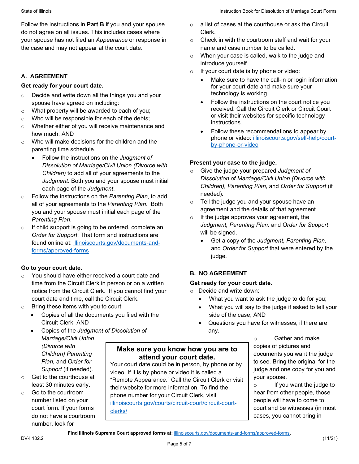your spouse has not filed an *Appearance* or response in Follow the instructions in **Part B** if you and your spouse do not agree on all issues. This includes cases where the case and may not appear at the court date.

### **A. AGREEMENT**

#### **Get ready for your court date.**

- o Decide and write down all the things you and your spouse have agreed on including:
- $\circ$  What property will be awarded to each of you;
- $\circ$  Who will be responsible for each of the debts;
- o Whether either of you will receive maintenance and how much; AND
- $\circ$  Who will make decisions for the children and the parenting time schedule.
	- Follow the instructions on the *Judgment of Dissolution of Marriage/Civil Union (Divorce with Children)* to add all of your agreements to the *Judgment*. Both you and your spouse must initial each page of the *Judgment*.
- o Follow the instructions on the *Parenting Plan*, to add all of your agreements to the *Parenting Plan*. Both you and your spouse must initial each page of the *Parenting Plan*.
- o If child support is going to be ordered, complete an *Order for Support*. That form and instructions are found online at: [illinoiscourts.gov/documents-and](https://www.illinoiscourts.gov/documents-and-forms/approved-forms/)[forms/approved-forms](https://www.illinoiscourts.gov/documents-and-forms/approved-forms/)

#### **Go to your court date.**

- notice from the Circuit Clerk. If you cannot find your o You should have either received a court date and time from the Circuit Clerk in person or on a written court date and time, call the Circuit Clerk.
- o Bring these items with you to court:
	- Copies of all the documents you filed with the Circuit Clerk; AND
	- Copies of the *Judgment of Dissolution of Marriage/Civil Union*

- 
- number, look for

video. If it is by phone or video it is called a  $\circ$  Get to the courthouse at  $\cdot$  "Remote Appearance." Call the Circuit Clerk or visit vour spouse. least 30 minutes early.<br>
Go to the courtroom their website for more information. To find the search of the search of the their website for wear Circuit Clerk visit 60 to the courtroom<br>
number listed on your<br>
court form. If your forms<br>
do not have a courtroom<br>
do not have a courtroom<br>
do not have a courtroom<br>
do not have a courtroom<br>
do not have a courtroom<br>
do not have a courtroom<br>
d

- $\circ$  Clerk. a list of cases at the courthouse or ask the Circuit
- $\circ$  Check in with the courtroom staff and wait for your name and case number to be called.
- o When your case is called, walk to the judge and introduce yourself.
- o If your court date is by phone or video:
	- Make sure to have the call-in or login information for your court date and make sure your technology is working.
	- received. Call the Circuit Clerk or Circuit Court Follow the instructions on the court notice you or visit their websites for specific technology instructions.
	- [by-phone-or-video](https://www.illinoiscourts.gov/self-help/court-by-phone-or-video) • Follow these recommendations to appear by phone or video: [illinoiscourts.gov/self-help/court-](https://www.illinoiscourts.gov/self-help/court-by-phone-or-video)

### **Present your case to the judge.**

- *Children), Parenting Plan,* and *Order for Support* (if o Give the judge your prepared *Judgment of Dissolution of Marriage/Civil Union (Divorce with*  needed)*.*
- o Tell the judge you and your spouse have an agreement and the details of that agreement.
- *Judgment, Parenting Plan,* and *Order for Support*  o If the judge approves your agreement, the will be signed.
	- and *Order for Support* that were entered by the • Get a copy of the *Judgment, Parenting Plan,*  judge.

# **B. NO AGREEMENT**

#### **Get ready for your court date.**

o Decide and write down:

- What you want to ask the judge to do for you;
- What you will say to the judge if asked to tell your side of the case; AND
- Questions you have for witnesses, if there are any.

 $\circ$  Gather and make copies of pictures and (Divorce with<br>
Children) Parenting<br>
Plan, and Order for<br>
Support (if needed).<br>
Your court date could be in person, by phone or by<br>
video. If it is by phone or video it is called a<br>
video. If it is by phone or video it is c

cases, you cannot bring in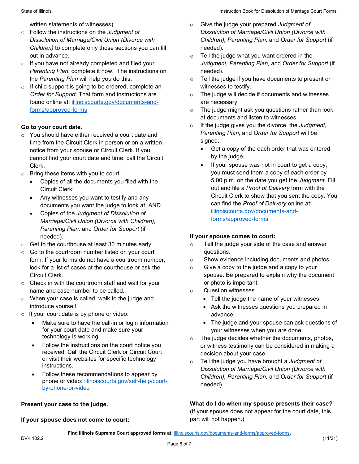written statements of witnesses).

- o Follow the instructions on the *Judgment of Dissolution of Marriage/Civil Union (Divorce with Children)* to complete only those sections you can fill out in advance.
- o If you have not already completed and filed your *Parenting Plan*, complete it now. The instructions on the *Parenting Plan* will help you do this.
- o If child support is going to be ordered, complete an *Order for Support*. That form and instructions are found online at: [illinoiscourts.gov/documents-and](https://www.illinoiscourts.gov/documents-and-forms/approved-forms/)[forms/approved-forms](https://www.illinoiscourts.gov/documents-and-forms/approved-forms/)

# **Go to your court date.**

- time from the Circuit Clerk in person or on a written o You should have either received a court date and notice from your spouse or Circuit Clerk. If you cannot find your court date and time, call the Circuit Clerk.
- o Bring these items with you to court:
	- Copies of all the documents you filed with the Circuit Clerk;
	- documents you want the judge to look at; AND • Any witnesses you want to testify and any
	- Copies of the *Judgment of Dissolution of Marriage/Civil Union (Divorce with Children), Parenting Plan,* and *Order for Support* (if needed).
- o Get to the courthouse at least 30 minutes early.
- Circuit Clerk.  $\circ$  Go to the courtroom number listed on your court form. If your forms do not have a courtroom number, look for a list of cases at the courthouse or ask the
- $\circ$  Check in with the courtroom staff and wait for your name and case number to be called.
- o When your case is called, walk to the judge and introduce yourself.
- o If your court date is by phone or video:
	- Make sure to have the call-in or login information for your court date and make sure your technology is working.
	- received. Call the Circuit Clerk or Circuit Court Follow the instructions on the court notice you or visit their websites for specific technology instructions.
	- Follow these recommendations to appear by phone or video: [illinoiscourts.gov/self-help/court](https://www.illinoiscourts.gov/self-help/court-by-phone-or-video)[by-phone-or-video](https://www.illinoiscourts.gov/self-help/court-by-phone-or-video)

#### **Present your case to the judge.**

#### If your spouse does not come to court:

- *Children), Parenting Plan,* and *Order for Support* (if *Dissolution of Marriage/Civil Union (Divorce with*  needed)*.*
- *Judgment, Parenting Plan,* and *Order for Support* (if  $\circ$  Tell the judge what you want ordered in the needed).
- $\circ$  Tell the judge if you have documents to present or witnesses to testify.
- o The judge will decide if documents and witnesses are necessary.
- o The judge might ask you questions rather than look at documents and listen to witnesses.
- o If the judge gives you the divorce, the *Judgment*, *Parenting Plan,* and *Order for Support* will be signed.
	- Get a copy of the each order that was entered by the judge.
- • If your spouse was not in court to get a copy, For a statement of victorial particle and the internet and the internet and the internet and the internet and the internet and the internet and the internet and the internet and the internet and the internet and the intern you must send them a copy of each order by 5:00 p.m. on the date you get the *Judgment*. Fill out and file a *Proof of Delivery* form with the Circuit Clerk to show that you sent the copy. You can find the *Proof of Delivery* online at: [illinoiscourts.gov/documents-and](https://www.illinoiscourts.gov/documents-and-forms/approved-forms/)[forms/approved-forms](https://www.illinoiscourts.gov/documents-and-forms/approved-forms/)

#### **If your spouse comes to court:**

- o Tell the judge your side of the case and answer questions.
- o Show evidence including documents and photos.
- or photo is important. o Give a copy to the judge and a copy to your spouse. Be prepared to explain why the document
- o Question witnesses.
	- Tell the judge the name of your witnesses.
	- Ask the witnesses questions you prepared in advance.
	- The judge and your spouse can ask questions of your witnesses when you are done.
- $\circ$  The judge decides whether the documents, photos, or witness testimony can be considered in making a decision about your case.
- *Children), Parenting Plan,* and *Order for Support* (if o Tell the judge you have brought a *Judgment of Dissolution of Marriage/Civil Union (Divorce with*  needed)*.*

#### **What do I do when my spouse presents their case?**

 (If your spouse does not appear for the court date, this part will not happen.)